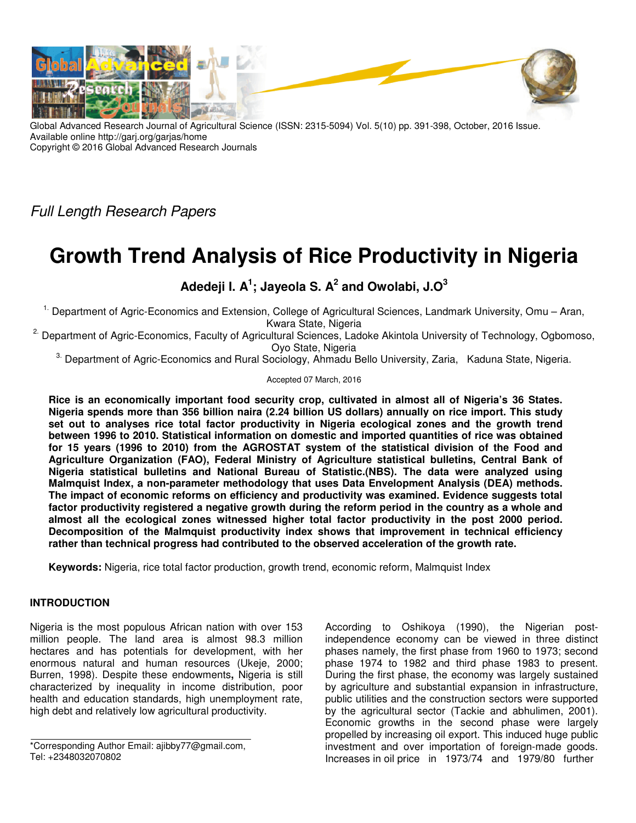

Global Advanced Research Journal of Agricultural Science (ISSN: 2315-5094) Vol. 5(10) pp. 391-398, October, 2016 Issue. Available online http://garj.org/garjas/home Copyright © 2016 Global Advanced Research Journals

Full Length Research Papers

# **Growth Trend Analysis of Rice Productivity in Nigeria**

## **Adedeji I. A<sup>1</sup> ; Jayeola S. A<sup>2</sup> and Owolabi, J.O<sup>3</sup>**

1. Department of Agric-Economics and Extension, College of Agricultural Sciences, Landmark University, Omu – Aran, Kwara State, Nigeria

<sup>2.</sup> Department of Agric-Economics, Faculty of Agricultural Sciences, Ladoke Akintola University of Technology, Ogbomoso, Oyo State, Nigeria

<sup>3.</sup> Department of Agric-Economics and Rural Sociology, Ahmadu Bello University, Zaria, Kaduna State, Nigeria.

#### Accepted 07 March, 2016

**Rice is an economically important food security crop, cultivated in almost all of Nigeria's 36 States. Nigeria spends more than 356 billion naira (2.24 billion US dollars) annually on rice import. This study set out to analyses rice total factor productivity in Nigeria ecological zones and the growth trend between 1996 to 2010. Statistical information on domestic and imported quantities of rice was obtained for 15 years (1996 to 2010) from the AGROSTAT system of the statistical division of the Food and Agriculture Organization (FAO), Federal Ministry of Agriculture statistical bulletins, Central Bank of Nigeria statistical bulletins and National Bureau of Statistic.(NBS). The data were analyzed using Malmquist Index, a non-parameter methodology that uses Data Envelopment Analysis (DEA) methods. The impact of economic reforms on efficiency and productivity was examined. Evidence suggests total factor productivity registered a negative growth during the reform period in the country as a whole and almost all the ecological zones witnessed higher total factor productivity in the post 2000 period. Decomposition of the Malmquist productivity index shows that improvement in technical efficiency rather than technical progress had contributed to the observed acceleration of the growth rate.** 

**Keywords:** Nigeria, rice total factor production, growth trend, economic reform, Malmquist Index

### **INTRODUCTION**

Nigeria is the most populous African nation with over 153 million people. The land area is almost 98.3 million hectares and has potentials for development, with her enormous natural and human resources (Ukeje, 2000; Burren, 1998). Despite these endowments**,** Nigeria is still characterized by inequality in income distribution, poor health and education standards, high unemployment rate, high debt and relatively low agricultural productivity.

According to Oshikoya (1990), the Nigerian postindependence economy can be viewed in three distinct phases namely, the first phase from 1960 to 1973; second phase 1974 to 1982 and third phase 1983 to present. During the first phase, the economy was largely sustained by agriculture and substantial expansion in infrastructure, public utilities and the construction sectors were supported by the agricultural sector (Tackie and abhulimen, 2001). Economic growths in the second phase were largely propelled by increasing oil export. This induced huge public investment and over importation of foreign-made goods. Increases in oil price in 1973/74 and 1979/80 further

<sup>\*</sup>Corresponding Author Email: ajibby77@gmail.com, Tel: +2348032070802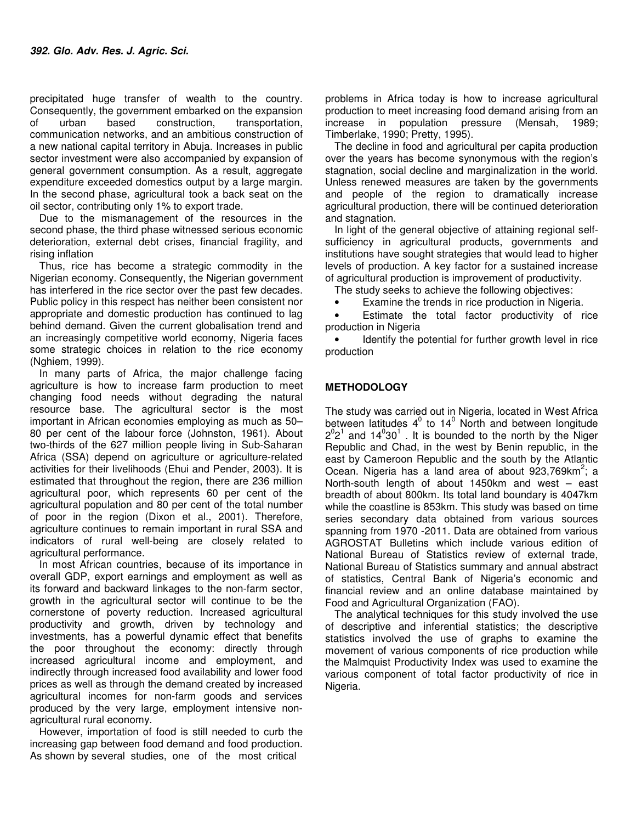precipitated huge transfer of wealth to the country. Consequently, the government embarked on the expansion of urban based construction, transportation, communication networks, and an ambitious construction of a new national capital territory in Abuja. Increases in public sector investment were also accompanied by expansion of general government consumption. As a result, aggregate expenditure exceeded domestics output by a large margin. In the second phase, agricultural took a back seat on the oil sector, contributing only 1% to export trade.

Due to the mismanagement of the resources in the second phase, the third phase witnessed serious economic deterioration, external debt crises, financial fragility, and rising inflation

Thus, rice has become a strategic commodity in the Nigerian economy. Consequently, the Nigerian government has interfered in the rice sector over the past few decades. Public policy in this respect has neither been consistent nor appropriate and domestic production has continued to lag behind demand. Given the current globalisation trend and an increasingly competitive world economy, Nigeria faces some strategic choices in relation to the rice economy (Nghiem, 1999).

In many parts of Africa, the major challenge facing agriculture is how to increase farm production to meet changing food needs without degrading the natural resource base. The agricultural sector is the most important in African economies employing as much as 50– 80 per cent of the labour force (Johnston, 1961). About two-thirds of the 627 million people living in Sub-Saharan Africa (SSA) depend on agriculture or agriculture-related activities for their livelihoods (Ehui and Pender, 2003). It is estimated that throughout the region, there are 236 million agricultural poor, which represents 60 per cent of the agricultural population and 80 per cent of the total number of poor in the region (Dixon et al., 2001). Therefore, agriculture continues to remain important in rural SSA and indicators of rural well-being are closely related to agricultural performance.

In most African countries, because of its importance in overall GDP, export earnings and employment as well as its forward and backward linkages to the non-farm sector, growth in the agricultural sector will continue to be the cornerstone of poverty reduction. Increased agricultural productivity and growth, driven by technology and investments, has a powerful dynamic effect that benefits the poor throughout the economy: directly through increased agricultural income and employment, and indirectly through increased food availability and lower food prices as well as through the demand created by increased agricultural incomes for non-farm goods and services produced by the very large, employment intensive nonagricultural rural economy.

However, importation of food is still needed to curb the increasing gap between food demand and food production. As shown by several studies, one of the most critical

problems in Africa today is how to increase agricultural production to meet increasing food demand arising from an increase in population pressure (Mensah, 1989; Timberlake, 1990; Pretty, 1995).

The decline in food and agricultural per capita production over the years has become synonymous with the region's stagnation, social decline and marginalization in the world. Unless renewed measures are taken by the governments and people of the region to dramatically increase agricultural production, there will be continued deterioration and stagnation.

In light of the general objective of attaining regional selfsufficiency in agricultural products, governments and institutions have sought strategies that would lead to higher levels of production. A key factor for a sustained increase of agricultural production is improvement of productivity.

The study seeks to achieve the following objectives:

• Examine the trends in rice production in Nigeria.

• Estimate the total factor productivity of rice production in Nigeria

• Identify the potential for further growth level in rice production

#### **METHODOLOGY**

The study was carried out in Nigeria, located in West Africa between latitudes  $4^0$  to 14<sup>0</sup> North and between longitude  $2^{0}2^{1}$  and  $14^{0}30^{1}$  . It is bounded to the north by the Niger Republic and Chad, in the west by Benin republic, in the east by Cameroon Republic and the south by the Atlantic Ocean. Nigeria has a land area of about  $923,769$ km<sup>2</sup>; a North-south length of about 1450km and west – east breadth of about 800km. Its total land boundary is 4047km while the coastline is 853km. This study was based on time series secondary data obtained from various sources spanning from 1970 -2011. Data are obtained from various AGROSTAT Bulletins which include various edition of National Bureau of Statistics review of external trade, National Bureau of Statistics summary and annual abstract of statistics, Central Bank of Nigeria's economic and financial review and an online database maintained by Food and Agricultural Organization (FAO).

The analytical techniques for this study involved the use of descriptive and inferential statistics; the descriptive statistics involved the use of graphs to examine the movement of various components of rice production while the Malmquist Productivity Index was used to examine the various component of total factor productivity of rice in Nigeria.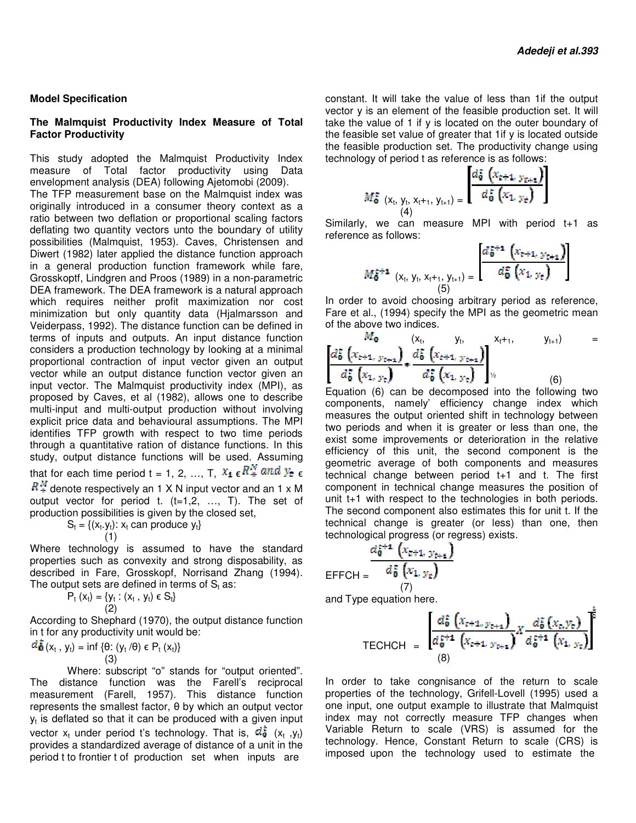#### **Model Specification**

#### **The Malmquist Productivity Index Measure of Total Factor Productivity**

This study adopted the Malmquist Productivity Index measure of Total factor productivity using Data envelopment analysis (DEA) following Ajetomobi (2009). The TFP measurement base on the Malmquist index was originally introduced in a consumer theory context as a ratio between two deflation or proportional scaling factors deflating two quantity vectors unto the boundary of utility possibilities (Malmquist, 1953). Caves, Christensen and Diwert (1982) later applied the distance function approach in a general production function framework while fare, Grosskoptf, Lindgren and Proos (1989) in a non DEA framework. The DEA framework is a natural approach which requires neither profit maximization nor cost minimization but only quantity data (Hjalmarsson and Veiderpass, 1992). The distance function can be defined in terms of inputs and outputs. An input distance function considers a production technology by looking at a minimal proportional contraction of input vector given an output vector while an output distance function vector given an input vector. The Malmquist productivity index (MPI), as proposed by Caves, et al (1982), allows one to describe multi-input and multi-output production without involving explicit price data and behavioural assumptions. The MPI identifies TFP growth with respect to two time periods through a quantitative ration of distance functions. In this study, output distance functions will be used. Assuming that for each time period t = 1, 2, ..., T,  $x_1 \in R_+^{\alpha}$  and  $y_e \in R_+^{\alpha}$  $R_{+}^{M}$  denote respectively an 1 X N input vector and an 1 x M his study adopted the Malmquist Productivity Index<br>neasure of Total factor productivity using Data<br>nvelopment analysis (DEA) following Ajetomobi (2009).<br>he TFP measurement base on the Malmquist index was<br>riginally introduc DEA framework. The DEA framework is a natural approach which requires neither profit maximization nor cost minimization but only quantity data (Hjalmarsson and Veiderpass, 1992). The distance function can be defined in ter

output vector for period t.  $(t=1,2, \ldots, T)$ . The set of production possibilities is given by the closed set, oduce y<sub>t</sub>}

$$
S_t = \{(x_t, y_t): x_t \text{ can pro } (1)
$$

Where technology is assumed to have the standard properties such as convexity and strong disposability, as described in Fare, Grosskopf, Norrisand Zhang (1994). The output sets are defined in terms of  $\mathsf{S}_\mathsf{t}$  as: denote respectively an 1 X N input vector and an 1 x M<br>ut vector for period t. (t=1,2, ..., T). The set of<br>uction possibilities is given by the closed set,<br> $S_t = \{(x_t, y_t): x_t \text{ can produce } y_t\}$ <br>(1)<br>re technology is assumed to have th

$$
P_t(x_t) = \{y_t : (x_t, y_t) \in S_t\}
$$
\n(2)

According to Shephard (1970), the output distance function in t for any productivity unit would be:

$$
\frac{d\mathbf{\hat{b}}}{\mathbf{0}}(x_t, y_t) = \inf \{ \theta: (y_t/\theta) \in P_t(x_t) \}
$$
\n(3)

Where: subscript "o" stands for "output oriented". The distance function was the Farell's reciprocal measurement (Farell, 1957). This distance function represents the smallest factor, θ by which an output vector  $y_t$  is deflated so that it can be produced with a given input vector  $x_t$  under period t's technology. That is,  $a_{\bullet}$  ( $x_t$ ,  $y_t$ ) provides a standardized average of distance of a unit in the provides a standardized average of distance of a unit in the<br>period t to frontier t of production set when inputs are 1957). This distance function<br>actor,  $\theta$  by which an output vector<br>in be produced with a given input<br>is technology. That is,  $\vec{a}$   $\vec{b}$  ( $x_t$ ,  $y_t$ ) constant. It will take the value of less than 1if the output vector y is an element of the feasible production set. It will take the value of 1 if y is located on the outer boundary of the feasible set value of greater that 1if y is located outside the feasible production set. The productivity change using technology of period t as reference is as follows: constant. It will take the value of less than 1if the outp<br>vector y is an element of the feasible production set. It w<br>take the value of 1 if y is located on the outer boundary<br>the feasible set value of greater that 1if y

$$
M_{\mathbf{0}}^{\mathbf{t}}\left(\mathbf{x}_{t},\mathbf{y}_{t},\mathbf{x}_{t+1},\mathbf{y}_{t+1}\right)=\frac{a_{\mathbf{0}}^{2}\left(\mathbf{x}_{t+1},\mathbf{y}_{t+1}\right)}{d_{\mathbf{0}}^{\mathbf{t}}\left(\mathbf{x}_{1},\mathbf{y}_{t}\right)}
$$

Similarly, we can measure MPI with period t+1 as reference as follows:

Similarly, we can measure MPI with period t+1 as  
reference as follows:  

$$
M_0^{\epsilon+1} \left( x_t, y_t, x_{t+1}, y_{t+1} \right) = \begin{bmatrix} d_0^{\epsilon+1} \left( x_{t+1}, y_{t+1} \right) \\ d_0^{\epsilon} \left( x_1, y_t \right) \\ 5 \end{bmatrix}
$$
In order to avoid choosing arbitrary period as reference,

Fare et al., (1994) specify the MPI as the geometric mean Fare geometric of the above two indices.

$$
\frac{M_{\mathbf{0}}}{d_{\mathbf{0}}^{2}\left(x_{t+1, y_{t+1}}\right)} \times \frac{(x_{t}, y_{t}, y_{t+1})}{d_{\mathbf{0}}^{2}\left(x_{t+1, y_{t+1}}\right)} \times \frac{x_{t+1}}{d_{\mathbf{0}}^{2}\left(x_{1, y_{t}}\right)} \times \frac{y_{t+1}}{d_{\mathbf{0}}^{2}\left(x_{1, y_{t}}\right)} = 0
$$

Equation (6) can be decomposed into the following two components, namely' efficiency change i index which measures the output oriented shift in technology between two periods and when it is greater or less than one, the exist some improvements or deterioration in the relative efficiency of this unit, the second component is the geometric average of both components and measures technical change between period t+1 and t. The first component in technical change measures the position of unit t+1 with respect to the technologies in both periods. The second component also estimates this for unit t. If the technical change is greater (or less) than one, then technological progress (or regress) exists. measures the output oriented shift in technology between<br>two periods and when it is greater or less than one, the<br>exist some improvements or deterioration in the relative<br>efficiency of this unit, the second component is t

$$
\mathsf{EFFCH} = \frac{d_{\mathbf{0}}^{\mathsf{z}+\mathbf{1}} \left(x_{\mathsf{z}+\mathbf{1}}, y_{\mathsf{t}+\mathbf{1}}\right)}{d_{\mathbf{0}}^{\mathsf{z}} \left(x_{1}, y_{\mathsf{t}}\right)}
$$
\n
$$
\frac{1}{\left(7\right)}
$$

and Type equation here.

TECHCH = 
$$
\frac{\left[ d_0^{\xi} \left( x_{t+1_{\infty} y_{t+1}} \right) \left( x_{t} y_{t+1} \right) \right]^{2}}{d_0^{\xi+1} \left( x_{t+1, y_{t+1}} \right)} X \frac{d_0^{\xi} \left( x_{t, y_{t}} \right)}{d_0^{\xi+1} \left( x_{1, y_{t}} \right)}
$$

In order to take congnisance of the return to scale In order to take congnisance of the return to scale<br>properties of the technology, Grifell-Lovell (1995) used a one input, one output example to illustrate that Malmquist index may not correctly measure TFP changes when Variable Return to scale (VRS) is assumed for the technology. Hence, Constant Return to scale (CRS) is technology. Hence, Constant Return to scale (CRS) is<br>imposed upon the technology used to estimate the example to illustrate that Malmquist<br>ctly measure TFP changes when<br>scale (VRS) is assumed for the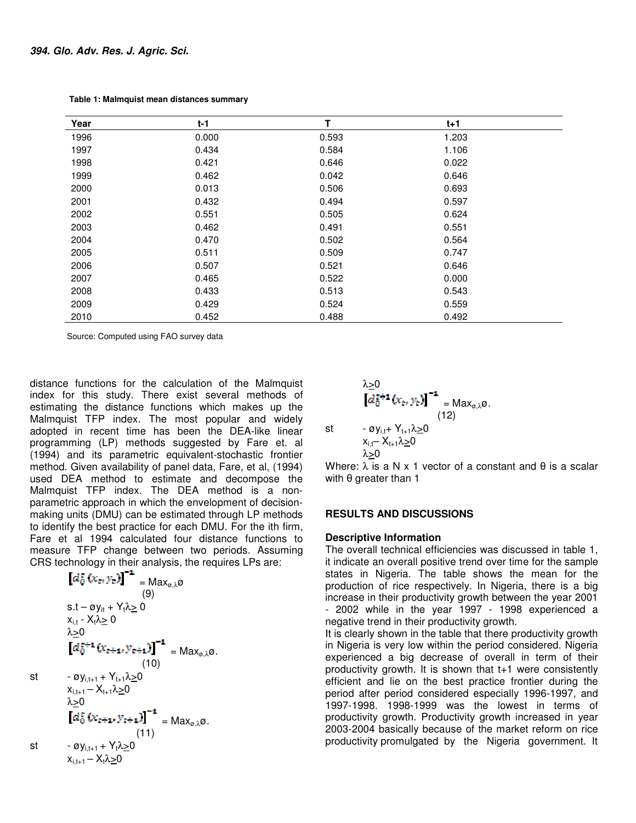| Year | $t-1$ | т     | $t + 1$ |  |
|------|-------|-------|---------|--|
| 1996 | 0.000 | 0.593 | 1.203   |  |
| 1997 | 0.434 | 0.584 | 1.106   |  |
| 1998 | 0.421 | 0.646 | 0.022   |  |
| 1999 | 0.462 | 0.042 | 0.646   |  |
| 2000 | 0.013 | 0.506 | 0.693   |  |
| 2001 | 0.432 | 0.494 | 0.597   |  |
| 2002 | 0.551 | 0.505 | 0.624   |  |
| 2003 | 0.462 | 0.491 | 0.551   |  |
| 2004 | 0.470 | 0.502 | 0.564   |  |
| 2005 | 0.511 | 0.509 | 0.747   |  |
| 2006 | 0.507 | 0.521 | 0.646   |  |
| 2007 | 0.465 | 0.522 | 0.000   |  |
| 2008 | 0.433 | 0.513 | 0.543   |  |
| 2009 | 0.429 | 0.524 | 0.559   |  |
| 2010 | 0.452 | 0.488 | 0.492   |  |

 **Table 1: Malmquist mean distances summary**

Source: Computed using FAO survey data

distance functions for the calculation of the Malmquist index for this study. There exist several methods of estimating the distance functions which makes up the Malmquist TFP index. The most popular and widely adopted in recent time has been the DEA-like linear programming (LP) methods suggested by Fare et. al (1994) and its parametric equivalent-stochastic frontier method. Given availability of panel data, Fare, et al, (1994) used DEA method to estimate and decompose the Malmquist TFP index. The DEA method is a non parametric approach in which the envelopment of decisionmaking units (DMU) can be estimated through LP methods to identify the best practice for each DMU. For the ith firm, Fare et al 1994 calculated four distance functions to measure TFP change between two periods. Assuming CRS technology in their analysis, the requires LPs are: t the distance functions which makes up the<br>t TFP index. The most popular and widely<br>in recent time has been the DEA-like linear programming (LP) methods suggested by Fare et. al<br>(1994) and its parametric equivalent-stochastic frontier<br>method. Given availability of panel data, Fare, et al, (1994)<br>used DEA method to estimate and decompose the<br>Malmqui tance functions for the calculation of the Malmquist<br>
lex for this study. There exist several methods of<br>
limating the distance functions which makes up the<br>
almquist TFP index. The most popular and widely<br>
opted in recen

$$
\begin{aligned}\n\left[d_{0}^{2}\left(x_{\varepsilon}, y_{\varepsilon}\right)\right]^{-1} &= \text{Max}_{\varnothing, \lambda}\varnothing \\
&= \text{Max}_{\varnothing, \lambda}\varnothing \\
&= 0 \\
x_{i, t} - x_{i}\lambda \geq 0 \\
\lambda \geq 0 \\
\left[d_{0}^{z+1}\left(x_{\varepsilon+1}, y_{\varepsilon+1}\right)\right]^{-1} &= \text{Max}_{\varnothing, \lambda}\varnothing. \\
&= \text{Max}_{\varnothing, \lambda}\varnothing. \\
&= \text{Max}_{\varnothing, \lambda} \varnothing. \\
&= 0 \\
\left[d_{0}^{z}\left(x_{\varepsilon+1}, y_{\varepsilon+1}\right)\right]^{-1} &= \text{Max}_{\varnothing, \lambda}\varnothing. \\
&= 0 \\
\left[d_{0}^{z}\left(x_{\varepsilon+1}, y_{\varepsilon+1}\right)\right]^{-1} &= \text{Max}_{\varnothing, \lambda}\varnothing. \\
&= \text{symmetry} \\
\text{S.t.} \quad -\varnothing y_{i, t+1} + Y_{i} \lambda \geq 0 \\
&= 0 \\
x_{i, t+1} - X_{t} \lambda \geq 0\n\end{aligned}
$$

$$
\lambda \geq 0
$$
\n
$$
\left[d_0^{\frac{1}{k}+1}(x_{\epsilon}, y_{\epsilon})\right]^{-1} = \text{Max}_{\varnothing, \lambda} \varnothing.
$$
\n
$$
\text{st} \qquad -\varnothing y_{i,t} + Y_{t+1} \lambda \geq 0
$$
\n
$$
x_{i,t} - X_{t+1} \lambda \geq 0
$$
\n
$$
\lambda \geq 0
$$

Where:  $\lambda$  is a N x 1 vector of a constant and  $\theta$  is a scalar with θ greater than 1

#### **RESULTS AND DISCUSSIONS**

#### **Descriptive Information**

The overall technical efficiencies was discussed in table 1, it indicate an overall positive trend over time for the sample states in Nigeria. The table shows the mean for the production of rice respectively. In Nigeria, there is a big increase in their productivity growth between the year 2001 - 2002 while in the year 1997 - 1998 experienced a negative trend in their productivity growth. table shows the mean for the<br>tively. In Nigeria, there is a big<br>ity growth between the year 2001<br>ar 1997 - 1998 experienced a

It is clearly shown in the table that there productivity growth in Nigeria is very low within the period considered. Nigeria experienced a big decrease of overall in term of their productivity growth. It is shown that t+1 were consistently efficient and lie on the best practice frontier during the efficient and lie on the best practice frontier during the<br>period after period considered especially 1996-1997, and 1997-1998. 1998-1999 was the lowest in terms of productivity growth. Productivity growth increased in year 2003-2004 basically because of the market reform on rice productivity promulgated by the Nigeria government. It 1998. 1998-1999 was the lowest in terms of<br>ctivity growth. Productivity growth increased in year<br>2004 basically because of the market reform on rice<br>ctivity promulgated by the Nigeria government. It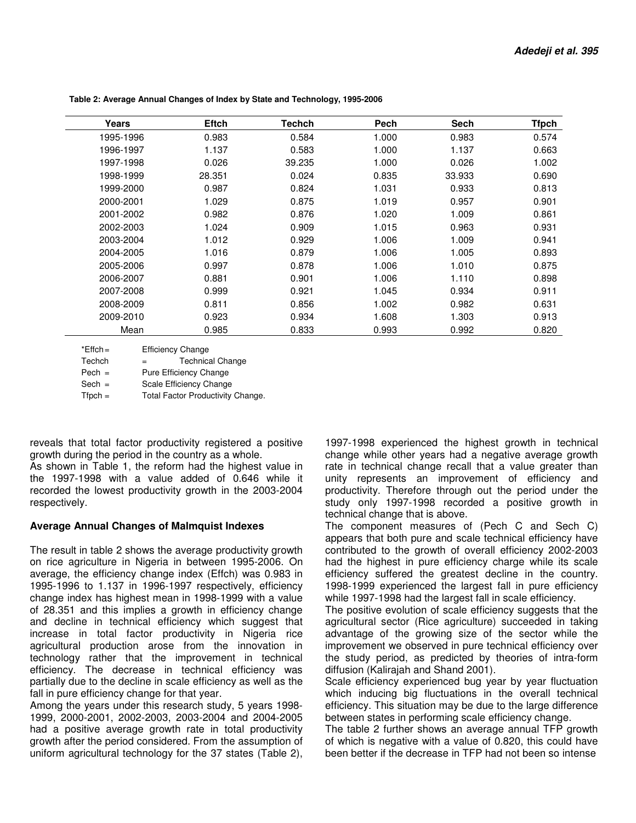| Years     | <b>Eftch</b> | Techch | Pech  | <b>Sech</b> | <b>Tfpch</b> |
|-----------|--------------|--------|-------|-------------|--------------|
| 1995-1996 | 0.983        | 0.584  | 1.000 | 0.983       | 0.574        |
| 1996-1997 | 1.137        | 0.583  | 1.000 | 1.137       | 0.663        |
| 1997-1998 | 0.026        | 39.235 | 1.000 | 0.026       | 1.002        |
| 1998-1999 | 28.351       | 0.024  | 0.835 | 33.933      | 0.690        |
| 1999-2000 | 0.987        | 0.824  | 1.031 | 0.933       | 0.813        |
| 2000-2001 | 1.029        | 0.875  | 1.019 | 0.957       | 0.901        |
| 2001-2002 | 0.982        | 0.876  | 1.020 | 1.009       | 0.861        |
| 2002-2003 | 1.024        | 0.909  | 1.015 | 0.963       | 0.931        |
| 2003-2004 | 1.012        | 0.929  | 1.006 | 1.009       | 0.941        |
| 2004-2005 | 1.016        | 0.879  | 1.006 | 1.005       | 0.893        |
| 2005-2006 | 0.997        | 0.878  | 1.006 | 1.010       | 0.875        |
| 2006-2007 | 0.881        | 0.901  | 1.006 | 1.110       | 0.898        |
| 2007-2008 | 0.999        | 0.921  | 1.045 | 0.934       | 0.911        |
| 2008-2009 | 0.811        | 0.856  | 1.002 | 0.982       | 0.631        |
| 2009-2010 | 0.923        | 0.934  | 1.608 | 1.303       | 0.913        |
| Mean      | 0.985        | 0.833  | 0.993 | 0.992       | 0.820        |

 **Table 2: Average Annual Changes of Index by State and Technology, 1995-2006** 

\*Effch = Efficiency Change Techch = Technical Change Pech = Pure Efficiency Change Sech = Scale Efficiency Change Tfpch = Total Factor Productivity Change.

reveals that total factor productivity registered a positive growth during the period in the country as a whole.

As shown in Table 1, the reform had the highest value in the 1997-1998 with a value added of 0.646 while it recorded the lowest productivity growth in the 2003-2004 respectively.

#### **Average Annual Changes of Malmquist Indexes**

The result in table 2 shows the average productivity growth on rice agriculture in Nigeria in between 1995-2006. On average, the efficiency change index (Effch) was 0.983 in 1995-1996 to 1.137 in 1996-1997 respectively, efficiency change index has highest mean in 1998-1999 with a value of 28.351 and this implies a growth in efficiency change and decline in technical efficiency which suggest that increase in total factor productivity in Nigeria rice agricultural production arose from the innovation in technology rather that the improvement in technical efficiency. The decrease in technical efficiency was partially due to the decline in scale efficiency as well as the fall in pure efficiency change for that year.

Among the years under this research study, 5 years 1998- 1999, 2000-2001, 2002-2003, 2003-2004 and 2004-2005 had a positive average growth rate in total productivity growth after the period considered. From the assumption of uniform agricultural technology for the 37 states (Table 2),

1997-1998 experienced the highest growth in technical change while other years had a negative average growth rate in technical change recall that a value greater than unity represents an improvement of efficiency and productivity. Therefore through out the period under the study only 1997-1998 recorded a positive growth in technical change that is above.

The component measures of (Pech C and Sech C) appears that both pure and scale technical efficiency have contributed to the growth of overall efficiency 2002-2003 had the highest in pure efficiency charge while its scale efficiency suffered the greatest decline in the country. 1998-1999 experienced the largest fall in pure efficiency while 1997-1998 had the largest fall in scale efficiency.

The positive evolution of scale efficiency suggests that the agricultural sector (Rice agriculture) succeeded in taking advantage of the growing size of the sector while the improvement we observed in pure technical efficiency over the study period, as predicted by theories of intra-form diffusion (Kalirajah and Shand 2001).

Scale efficiency experienced bug year by year fluctuation which inducing big fluctuations in the overall technical efficiency. This situation may be due to the large difference between states in performing scale efficiency change.

The table 2 further shows an average annual TFP growth of which is negative with a value of 0.820, this could have been better if the decrease in TFP had not been so intense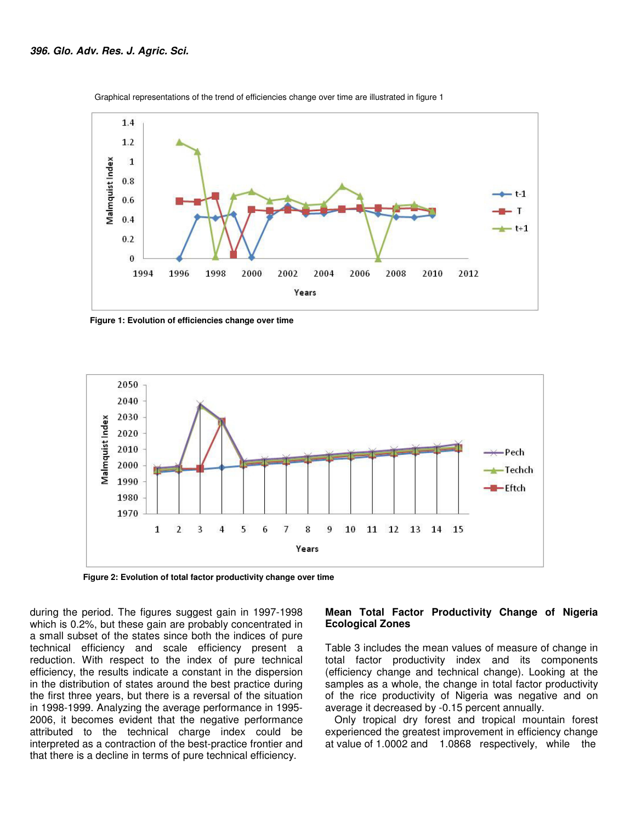

Graphical representations of the trend of efficiencies change over time are illustrated in figure 1

 **Figure 1: Evolution of efficiencies change over time** 



 **Figure 2: Evolution of total factor productivity change over time** 

during the period. The figures suggest gain in 1997-1998 which is 0.2%, but these gain are probably concentrated in a small subset of the states since both the indices of pure technical efficiency and scale efficiency present a reduction. With respect to the index of pure technical efficiency, the results indicate a constant in the dispersion in the distribution of states around the best practice during the first three years, but there is a reversal of the situation in 1998-1999. Analyzing the average performance in 1995- 2006, it becomes evident that the negative performance attributed to the technical charge index could be interpreted as a contraction of the best-practice frontier and that there is a decline in terms of pure technical efficiency.

#### **Mean Total Factor Productivity Change of Nigeria Ecological Zones**

Table 3 includes the mean values of measure of change in total factor productivity index and its components (efficiency change and technical change). Looking at the samples as a whole, the change in total factor productivity of the rice productivity of Nigeria was negative and on average it decreased by -0.15 percent annually.

Only tropical dry forest and tropical mountain forest experienced the greatest improvement in efficiency change at value of 1.0002 and 1.0868 respectively, while the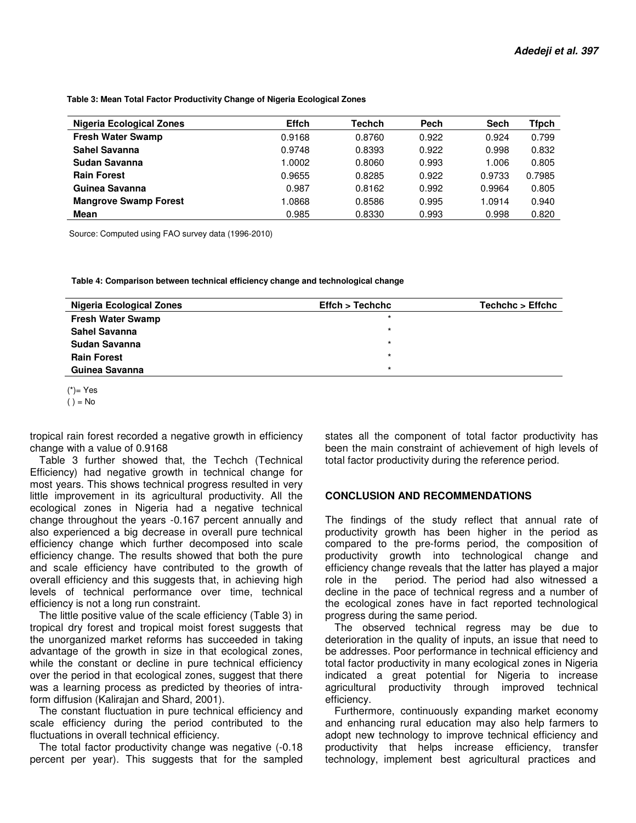**Table 3: Mean Total Factor Productivity Change of Nigeria Ecological Zones** 

| <b>Nigeria Ecological Zones</b> | <b>Effch</b> | <b>Techch</b> | Pech  | Sech   | Tfpch  |
|---------------------------------|--------------|---------------|-------|--------|--------|
| <b>Fresh Water Swamp</b>        | 0.9168       | 0.8760        | 0.922 | 0.924  | 0.799  |
| Sahel Savanna                   | 0.9748       | 0.8393        | 0.922 | 0.998  | 0.832  |
| Sudan Savanna                   | 1.0002       | 0.8060        | 0.993 | 1.006  | 0.805  |
| <b>Rain Forest</b>              | 0.9655       | 0.8285        | 0.922 | 0.9733 | 0.7985 |
| Guinea Savanna                  | 0.987        | 0.8162        | 0.992 | 0.9964 | 0.805  |
| <b>Mangrove Swamp Forest</b>    | .0868        | 0.8586        | 0.995 | 1.0914 | 0.940  |
| Mean                            | 0.985        | 0.8330        | 0.993 | 0.998  | 0.820  |

Source: Computed using FAO survey data (1996-2010)

 **Table 4: Comparison between technical efficiency change and technological change** 

| <b>Nigeria Ecological Zones</b> | Effch > Techchc | Techchc > Effchc |
|---------------------------------|-----------------|------------------|
| <b>Fresh Water Swamp</b>        | $\star$         |                  |
| <b>Sahel Savanna</b>            | $\star$         |                  |
| Sudan Savanna                   | $\star$         |                  |
| <b>Rain Forest</b>              | $\star$         |                  |
| Guinea Savanna                  | $\star$         |                  |

 $(*)$ = Yes  $() = No$ 

tropical rain forest recorded a negative growth in efficiency change with a value of 0.9168

Table 3 further showed that, the Techch (Technical Efficiency) had negative growth in technical change for most years. This shows technical progress resulted in very little improvement in its agricultural productivity. All the ecological zones in Nigeria had a negative technical change throughout the years -0.167 percent annually and also experienced a big decrease in overall pure technical efficiency change which further decomposed into scale efficiency change. The results showed that both the pure and scale efficiency have contributed to the growth of overall efficiency and this suggests that, in achieving high levels of technical performance over time, technical efficiency is not a long run constraint.

The little positive value of the scale efficiency (Table 3) in tropical dry forest and tropical moist forest suggests that the unorganized market reforms has succeeded in taking advantage of the growth in size in that ecological zones, while the constant or decline in pure technical efficiency over the period in that ecological zones, suggest that there was a learning process as predicted by theories of intraform diffusion (Kalirajan and Shard, 2001).

The constant fluctuation in pure technical efficiency and scale efficiency during the period contributed to the fluctuations in overall technical efficiency.

The total factor productivity change was negative (-0.18 percent per year). This suggests that for the sampled states all the component of total factor productivity has been the main constraint of achievement of high levels of total factor productivity during the reference period.

#### **CONCLUSION AND RECOMMENDATIONS**

The findings of the study reflect that annual rate of productivity growth has been higher in the period as compared to the pre-forms period, the composition of productivity growth into technological change and efficiency change reveals that the latter has played a major role in the period. The period had also witnessed a decline in the pace of technical regress and a number of the ecological zones have in fact reported technological progress during the same period.

The observed technical regress may be due to deterioration in the quality of inputs, an issue that need to be addresses. Poor performance in technical efficiency and total factor productivity in many ecological zones in Nigeria indicated a great potential for Nigeria to increase agricultural productivity through improved technical efficiency.

Furthermore, continuously expanding market economy and enhancing rural education may also help farmers to adopt new technology to improve technical efficiency and productivity that helps increase efficiency, transfer technology, implement best agricultural practices and